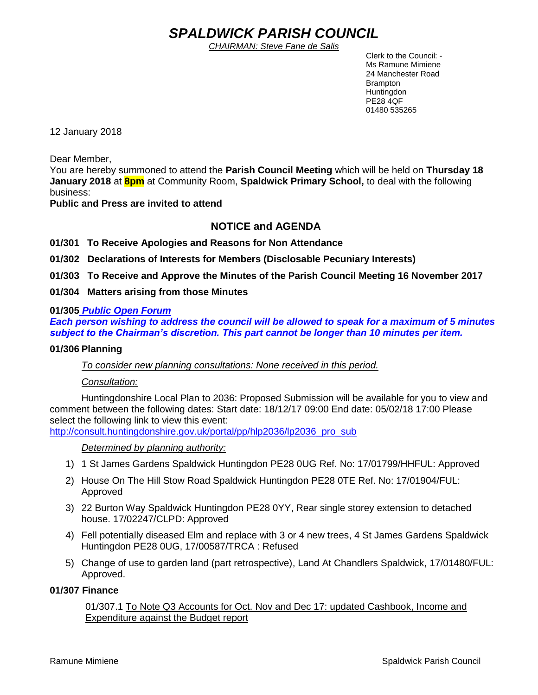# *SPALDWICK PARISH COUNCIL*

*CHAIRMAN: Steve Fane de Salis*

 Clerk to the Council: - Ms Ramune Mimiene 24 Manchester Road Brampton **Huntingdon** PE28 4QF 01480 535265

12 January 2018

Dear Member,

You are hereby summoned to attend the **Parish Council Meeting** which will be held on **Thursday 18 January 2018** at **8pm** at Community Room, **Spaldwick Primary School,** to deal with the following business:

**Public and Press are invited to attend**

# **NOTICE and AGENDA**

**01/301 To Receive Apologies and Reasons for Non Attendance**

**01/302 Declarations of Interests for Members (Disclosable Pecuniary Interests)**

**01/303 To Receive and Approve the Minutes of the Parish Council Meeting 16 November 2017**

**01/304 Matters arising from those Minutes**

# **01/305** *Public Open Forum*

*Each person wishing to address the council will be allowed to speak for a maximum of 5 minutes subject to the Chairman's discretion. This part cannot be longer than 10 minutes per item.* 

# **01/306 Planning**

*To consider new planning consultations: None received in this period.*

# *Consultation:*

Huntingdonshire Local Plan to 2036: Proposed Submission will be available for you to view and comment between the following dates: Start date: 18/12/17 09:00 End date: 05/02/18 17:00 Please select the following link to view this event:

[http://consult.huntingdonshire.gov.uk/portal/pp/hlp2036/lp2036\\_pro\\_sub](http://consult.huntingdonshire.gov.uk/portal/pp/hlp2036/lp2036_pro_sub)

*Determined by planning authority:*

- 1) 1 St James Gardens Spaldwick Huntingdon PE28 0UG Ref. No: 17/01799/HHFUL: Approved
- 2) House On The Hill Stow Road Spaldwick Huntingdon PE28 0TE Ref. No: 17/01904/FUL: Approved
- 3) 22 Burton Way Spaldwick Huntingdon PE28 0YY, Rear single storey extension to detached house. 17/02247/CLPD: Approved
- 4) Fell potentially diseased Elm and replace with 3 or 4 new trees, 4 St James Gardens Spaldwick Huntingdon PE28 0UG, 17/00587/TRCA : Refused
- 5) Change of use to garden land (part retrospective), Land At Chandlers Spaldwick, 17/01480/FUL: Approved.

# **01/307 Finance**

01/307.1 To Note Q3 Accounts for Oct. Nov and Dec 17: updated Cashbook, Income and Expenditure against the Budget report